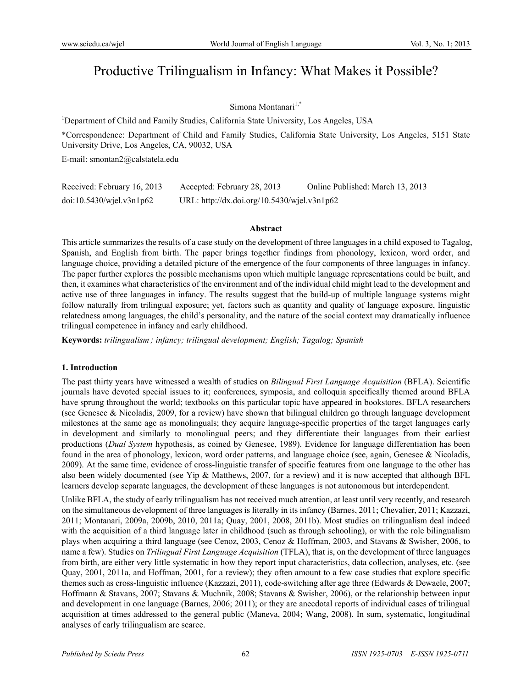# Productive Trilingualism in Infancy: What Makes it Possible?

## Simona Montanari<sup>1,\*</sup>

<sup>1</sup>Department of Child and Family Studies, California State University, Los Angeles, USA

\*Correspondence: Department of Child and Family Studies, California State University, Los Angeles, 5151 State University Drive, Los Angeles, CA, 90032, USA

E-mail: smontan2@calstatela.edu

| Received: February 16, 2013 | Accepted: February 28, 2013                 | Online Published: March 13, 2013 |
|-----------------------------|---------------------------------------------|----------------------------------|
| $doi:10.5430/w$ jel.v3n1p62 | URL: http://dx.doi.org/10.5430/wjel.v3n1p62 |                                  |

#### **Abstract**

This article summarizes the results of a case study on the development of three languages in a child exposed to Tagalog, Spanish, and English from birth. The paper brings together findings from phonology, lexicon, word order, and language choice, providing a detailed picture of the emergence of the four components of three languages in infancy. The paper further explores the possible mechanisms upon which multiple language representations could be built, and then, it examines what characteristics of the environment and of the individual child might lead to the development and active use of three languages in infancy. The results suggest that the build-up of multiple language systems might follow naturally from trilingual exposure; yet, factors such as quantity and quality of language exposure, linguistic relatedness among languages, the child's personality, and the nature of the social context may dramatically influence trilingual competence in infancy and early childhood.

**Keywords:** *trilingualism*; *infancy; trilingual development; English; Tagalog; Spanish* 

#### **1. Introduction**

The past thirty years have witnessed a wealth of studies on *Bilingual First Language Acquisition* (BFLA). Scientific journals have devoted special issues to it; conferences, symposia, and colloquia specifically themed around BFLA have sprung throughout the world; textbooks on this particular topic have appeared in bookstores. BFLA researchers (see Genesee & Nicoladis, 2009, for a review) have shown that bilingual children go through language development milestones at the same age as monolinguals; they acquire language-specific properties of the target languages early in development and similarly to monolingual peers; and they differentiate their languages from their earliest productions (*Dual System* hypothesis, as coined by Genesee, 1989). Evidence for language differentiation has been found in the area of phonology, lexicon, word order patterns, and language choice (see, again, Genesee & Nicoladis, 2009). At the same time, evidence of cross-linguistic transfer of specific features from one language to the other has also been widely documented (see Yip & Matthews, 2007, for a review) and it is now accepted that although BFL learners develop separate languages, the development of these languages is not autonomous but interdependent.

Unlike BFLA, the study of early trilingualism has not received much attention, at least until very recently, and research on the simultaneous development of three languages is literally in its infancy (Barnes, 2011; Chevalier, 2011; Kazzazi, 2011; Montanari, 2009a, 2009b, 2010, 2011a; Quay, 2001, 2008, 2011b). Most studies on trilingualism deal indeed with the acquisition of a third language later in childhood (such as through schooling), or with the role bilingualism plays when acquiring a third language (see Cenoz, 2003, Cenoz & Hoffman, 2003, and Stavans & Swisher, 2006, to name a few). Studies on *Trilingual First Language Acquisition* (TFLA), that is, on the development of three languages from birth, are either very little systematic in how they report input characteristics, data collection, analyses, etc. (see Quay, 2001, 2011a, and Hoffman, 2001, for a review); they often amount to a few case studies that explore specific themes such as cross-linguistic influence (Kazzazi, 2011), code-switching after age three (Edwards & Dewaele, 2007; Hoffmann & Stavans, 2007; Stavans & Muchnik, 2008; Stavans & Swisher, 2006), or the relationship between input and development in one language (Barnes, 2006; 2011); or they are anecdotal reports of individual cases of trilingual acquisition at times addressed to the general public (Maneva, 2004; Wang, 2008). In sum, systematic, longitudinal analyses of early trilingualism are scarce.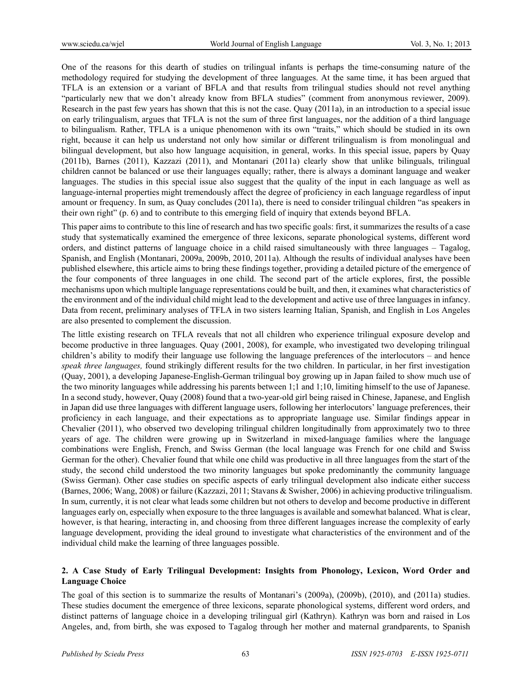One of the reasons for this dearth of studies on trilingual infants is perhaps the time-consuming nature of the methodology required for studying the development of three languages. At the same time, it has been argued that TFLA is an extension or a variant of BFLA and that results from trilingual studies should not revel anything "particularly new that we don't already know from BFLA studies" (comment from anonymous reviewer, 2009). Research in the past few years has shown that this is not the case. Quay (2011a), in an introduction to a special issue on early trilingualism, argues that TFLA is not the sum of three first languages, nor the addition of a third language to bilingualism. Rather, TFLA is a unique phenomenon with its own "traits," which should be studied in its own right, because it can help us understand not only how similar or different trilingualism is from monolingual and bilingual development, but also how language acquisition, in general, works. In this special issue, papers by Quay (2011b), Barnes (2011), Kazzazi (2011), and Montanari (2011a) clearly show that unlike bilinguals, trilingual children cannot be balanced or use their languages equally; rather, there is always a dominant language and weaker languages. The studies in this special issue also suggest that the quality of the input in each language as well as language-internal properties might tremendously affect the degree of proficiency in each language regardless of input amount or frequency. In sum, as Quay concludes (2011a), there is need to consider trilingual children "as speakers in their own right" (p. 6) and to contribute to this emerging field of inquiry that extends beyond BFLA.

This paper aims to contribute to this line of research and has two specific goals: first, it summarizes the results of a case study that systematically examined the emergence of three lexicons, separate phonological systems, different word orders, and distinct patterns of language choice in a child raised simultaneously with three languages – Tagalog, Spanish, and English (Montanari, 2009a, 2009b, 2010, 2011a). Although the results of individual analyses have been published elsewhere, this article aims to bring these findings together, providing a detailed picture of the emergence of the four components of three languages in one child. The second part of the article explores, first, the possible mechanisms upon which multiple language representations could be built, and then, it examines what characteristics of the environment and of the individual child might lead to the development and active use of three languages in infancy. Data from recent, preliminary analyses of TFLA in two sisters learning Italian, Spanish, and English in Los Angeles are also presented to complement the discussion.

The little existing research on TFLA reveals that not all children who experience trilingual exposure develop and become productive in three languages. Quay (2001, 2008), for example, who investigated two developing trilingual children's ability to modify their language use following the language preferences of the interlocutors – and hence *speak three languages,* found strikingly different results for the two children. In particular, in her first investigation (Quay, 2001), a developing Japanese-English-German trilingual boy growing up in Japan failed to show much use of the two minority languages while addressing his parents between 1;1 and 1;10, limiting himself to the use of Japanese. In a second study, however, Quay (2008) found that a two-year-old girl being raised in Chinese, Japanese, and English in Japan did use three languages with different language users, following her interlocutors' language preferences, their proficiency in each language, and their expectations as to appropriate language use. Similar findings appear in Chevalier (2011), who observed two developing trilingual children longitudinally from approximately two to three years of age. The children were growing up in Switzerland in mixed-language families where the language combinations were English, French, and Swiss German (the local language was French for one child and Swiss German for the other). Chevalier found that while one child was productive in all three languages from the start of the study, the second child understood the two minority languages but spoke predominantly the community language (Swiss German). Other case studies on specific aspects of early trilingual development also indicate either success (Barnes, 2006; Wang, 2008) or failure (Kazzazi, 2011; Stavans & Swisher, 2006) in achieving productive trilingualism. In sum, currently, it is not clear what leads some children but not others to develop and become productive in different languages early on, especially when exposure to the three languages is available and somewhat balanced. What is clear, however, is that hearing, interacting in, and choosing from three different languages increase the complexity of early language development, providing the ideal ground to investigate what characteristics of the environment and of the individual child make the learning of three languages possible.

# **2. A Case Study of Early Trilingual Development: Insights from Phonology, Lexicon, Word Order and Language Choice**

The goal of this section is to summarize the results of Montanari's (2009a), (2009b), (2010), and (2011a) studies. These studies document the emergence of three lexicons, separate phonological systems, different word orders, and distinct patterns of language choice in a developing trilingual girl (Kathryn). Kathryn was born and raised in Los Angeles, and, from birth, she was exposed to Tagalog through her mother and maternal grandparents, to Spanish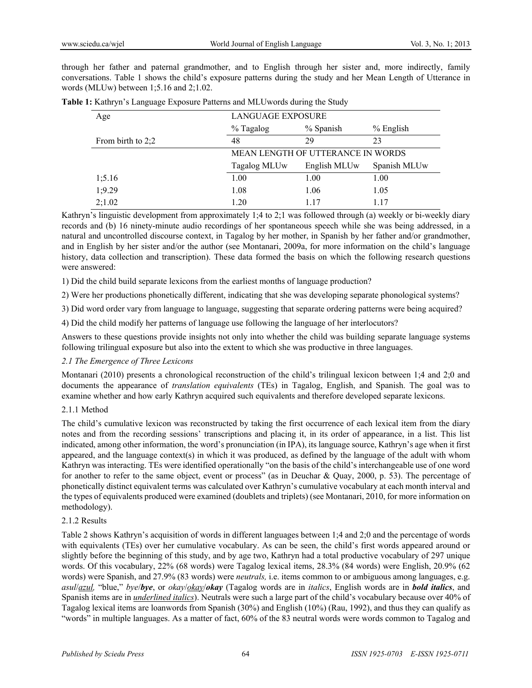through her father and paternal grandmother, and to English through her sister and, more indirectly, family conversations. Table 1 shows the child's exposure patterns during the study and her Mean Length of Utterance in words (MLUw) between 1;5.16 and 2;1.02.

| Age                 | <b>LANGUAGE EXPOSURE</b> |                                   |              |  |  |  |  |
|---------------------|--------------------------|-----------------------------------|--------------|--|--|--|--|
|                     | % Tagalog                | % Spanish                         | $%$ English  |  |  |  |  |
| From birth to $2:2$ | 48                       | 29                                | 23           |  |  |  |  |
|                     |                          | MEAN LENGTH OF UTTERANCE IN WORDS |              |  |  |  |  |
|                     | Tagalog MLUw             | English MLU <sub>w</sub>          | Spanish MLUw |  |  |  |  |
| 1;5.16              | 1.00                     | 1.00                              | 1.00         |  |  |  |  |
| 1:9.29              | 1.08                     | 1.06                              | 1.05         |  |  |  |  |
| 2:1.02              | 1.20                     | 1.17                              | 1.17         |  |  |  |  |

|  | Table 1: Kathryn's Language Exposure Patterns and MLUwords during the Study |  |  |  |
|--|-----------------------------------------------------------------------------|--|--|--|
|  |                                                                             |  |  |  |

Kathryn's linguistic development from approximately 1;4 to 2;1 was followed through (a) weekly or bi-weekly diary records and (b) 16 ninety-minute audio recordings of her spontaneous speech while she was being addressed, in a natural and uncontrolled discourse context, in Tagalog by her mother, in Spanish by her father and/or grandmother, and in English by her sister and/or the author (see Montanari, 2009a, for more information on the child's language history, data collection and transcription). These data formed the basis on which the following research questions were answered:

1) Did the child build separate lexicons from the earliest months of language production?

2) Were her productions phonetically different, indicating that she was developing separate phonological systems?

3) Did word order vary from language to language, suggesting that separate ordering patterns were being acquired?

4) Did the child modify her patterns of language use following the language of her interlocutors?

Answers to these questions provide insights not only into whether the child was building separate language systems following trilingual exposure but also into the extent to which she was productive in three languages.

# *2.1 The Emergence of Three Lexicons*

Montanari (2010) presents a chronological reconstruction of the child's trilingual lexicon between 1;4 and 2;0 and documents the appearance of *translation equivalents* (TEs) in Tagalog, English, and Spanish. The goal was to examine whether and how early Kathryn acquired such equivalents and therefore developed separate lexicons.

#### 2.1.1 Method

The child's cumulative lexicon was reconstructed by taking the first occurrence of each lexical item from the diary notes and from the recording sessions' transcriptions and placing it, in its order of appearance, in a list. This list indicated, among other information, the word's pronunciation (in IPA), its language source, Kathryn's age when it first appeared, and the language context(s) in which it was produced, as defined by the language of the adult with whom Kathryn was interacting. TEs were identified operationally "on the basis of the child's interchangeable use of one word for another to refer to the same object, event or process" (as in Deuchar & Quay, 2000, p. 53). The percentage of phonetically distinct equivalent terms was calculated over Kathryn's cumulative vocabulary at each month interval and the types of equivalents produced were examined (doublets and triplets) (see Montanari, 2010, for more information on methodology).

#### 2.1.2 Results

Table 2 shows Kathryn's acquisition of words in different languages between 1;4 and 2;0 and the percentage of words with equivalents (TEs) over her cumulative vocabulary. As can be seen, the child's first words appeared around or slightly before the beginning of this study, and by age two, Kathryn had a total productive vocabulary of 297 unique words. Of this vocabulary, 22% (68 words) were Tagalog lexical items, 28.3% (84 words) were English, 20.9% (62 words) were Spanish, and 27.9% (83 words) were *neutrals,* i.e. items common to or ambiguous among languages, e.g. *asul*/*azul,* "blue," *bye*/*bye*, or *okay*/*okay*/*okay* (Tagalog words are in *italics*, English words are in *bold italics*, and Spanish items are in *underlined italics*). Neutrals were such a large part of the child's vocabulary because over 40% of Tagalog lexical items are loanwords from Spanish (30%) and English (10%) (Rau, 1992), and thus they can qualify as "words" in multiple languages. As a matter of fact, 60% of the 83 neutral words were words common to Tagalog and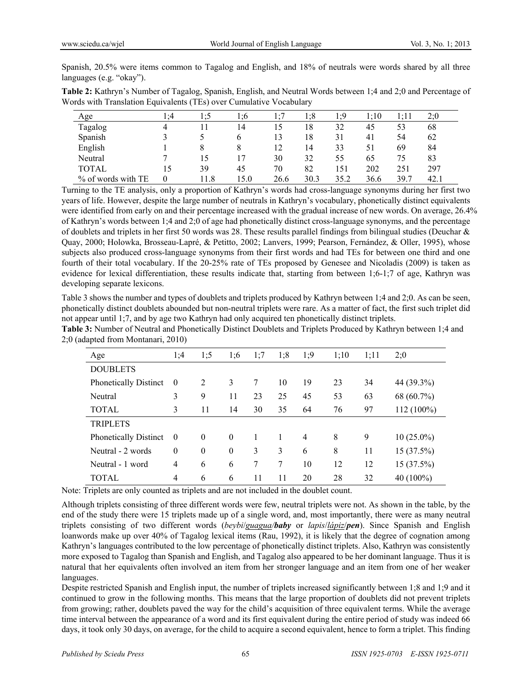Spanish, 20.5% were items common to Tagalog and English, and 18% of neutrals were words shared by all three languages (e.g. "okay").

| Table 2: Kathryn's Number of Tagalog, Spanish, English, and Neutral Words between 1;4 and 2;0 and Percentage of |  |                               |             |                   |     |                     |  |
|-----------------------------------------------------------------------------------------------------------------|--|-------------------------------|-------------|-------------------|-----|---------------------|--|
| Words with Translation Equivalents (TEs) over Cumulative Vocabulary                                             |  |                               |             |                   |     |                     |  |
| Aσe                                                                                                             |  | $\mathbf{1} \cdot \mathbf{6}$ | $1 \cdot 7$ | $\sim$ 1.8 $\sim$ | 1.9 | $1.10 \t1.11 \t2.0$ |  |

| Age                  | ' :4 | $ \cdot \zeta$ | l:6  | $\cdot$ . | l:8  | ١٠9  | l:10 | 1:11 | 2:0  |
|----------------------|------|----------------|------|-----------|------|------|------|------|------|
| Tagalog              |      |                | 14   |           | 18   | 32   | 45   | 53   | 68   |
| Spanish              |      |                | O    | 13        | 18   | 31   | 41   | 54   | 62   |
| English              |      |                | 8    | 12        | 14   | 33   | 51   | 69   | 84   |
| Neutral              |      | 15             |      | 30        | 32   | 55   | 65   | 75   | 83   |
| <b>TOTAL</b>         | 15   | 39             | 45   | 70        | 82   | 151  | 202  | 251  | 297  |
| $%$ of words with TE | 0    | 11.8           | 15.0 | 26.6      | 30.3 | 35.2 | 36.6 | 39.7 | 42.1 |

Turning to the TE analysis, only a proportion of Kathryn's words had cross-language synonyms during her first two years of life. However, despite the large number of neutrals in Kathryn's vocabulary, phonetically distinct equivalents were identified from early on and their percentage increased with the gradual increase of new words. On average, 26.4% of Kathryn's words between 1;4 and 2;0 of age had phonetically distinct cross-language synonyms, and the percentage of doublets and triplets in her first 50 words was 28. These results parallel findings from bilingual studies (Deuchar & Quay, 2000; Holowka, Brosseau-Lapré, & Petitto, 2002; Lanvers, 1999; Pearson, Fernández, & Oller, 1995), whose subjects also produced cross-language synonyms from their first words and had TEs for between one third and one fourth of their total vocabulary. If the 20-25% rate of TEs proposed by Genesee and Nicoladis (2009) is taken as evidence for lexical differentiation, these results indicate that, starting from between 1;6-1;7 of age, Kathryn was developing separate lexicons.

Table 3 shows the number and types of doublets and triplets produced by Kathryn between 1;4 and 2;0. As can be seen, phonetically distinct doublets abounded but non-neutral triplets were rare. As a matter of fact, the first such triplet did not appear until 1;7, and by age two Kathryn had only acquired ten phonetically distinct triplets.

| Table 3: Number of Neutral and Phonetically Distinct Doublets and Triplets Produced by Kathryn between 1;4 and |  |
|----------------------------------------------------------------------------------------------------------------|--|
| 2;0 (adapted from Montanari, 2010)                                                                             |  |

| Age                   | 1;4              | 1;5      | 1;6      | 1;7 | 1;8 | 1:9            | 1:10 | 1:11 | 2;0          |
|-----------------------|------------------|----------|----------|-----|-----|----------------|------|------|--------------|
| <b>DOUBLETS</b>       |                  |          |          |     |     |                |      |      |              |
| Phonetically Distinct | $\boldsymbol{0}$ | 2        | 3        | 7   | 10  | 19             | 23   | 34   | 44 (39.3%)   |
| Neutral               | 3                | 9        | 11       | 23  | 25  | 45             | 53   | 63   | 68 (60.7%)   |
| <b>TOTAL</b>          | 3                | 11       | 14       | 30  | 35  | 64             | 76   | 97   | $112(100\%)$ |
| <b>TRIPLETS</b>       |                  |          |          |     |     |                |      |      |              |
| Phonetically Distinct | $\boldsymbol{0}$ | $\theta$ | $\theta$ | 1   | 1   | $\overline{4}$ | 8    | 9    | $10(25.0\%)$ |
| Neutral - 2 words     | $\theta$         | $\theta$ | $\theta$ | 3   | 3   | 6              | 8    | 11   | 15(37.5%)    |
| Neutral - 1 word      | 4                | 6        | 6        | 7   | 7   | 10             | 12   | 12   | 15(37.5%)    |
| TOTAL                 | 4                | 6        | 6        | 11  | 11  | 20             | 28   | 32   | 40 (100%)    |

Note: Triplets are only counted as triplets and are not included in the doublet count.

Although triplets consisting of three different words were few, neutral triplets were not. As shown in the table, by the end of the study there were 15 triplets made up of a single word, and, most importantly, there were as many neutral triplets consisting of two different words (*beybi*/*guagua/baby* or *lapis*/*lápiz*/*pen*). Since Spanish and English loanwords make up over 40% of Tagalog lexical items (Rau, 1992), it is likely that the degree of cognation among Kathryn's languages contributed to the low percentage of phonetically distinct triplets. Also, Kathryn was consistently more exposed to Tagalog than Spanish and English, and Tagalog also appeared to be her dominant language. Thus it is natural that her equivalents often involved an item from her stronger language and an item from one of her weaker languages.

Despite restricted Spanish and English input, the number of triplets increased significantly between 1;8 and 1;9 and it continued to grow in the following months. This means that the large proportion of doublets did not prevent triplets from growing; rather, doublets paved the way for the child's acquisition of three equivalent terms. While the average time interval between the appearance of a word and its first equivalent during the entire period of study was indeed 66 days, it took only 30 days, on average, for the child to acquire a second equivalent, hence to form a triplet. This finding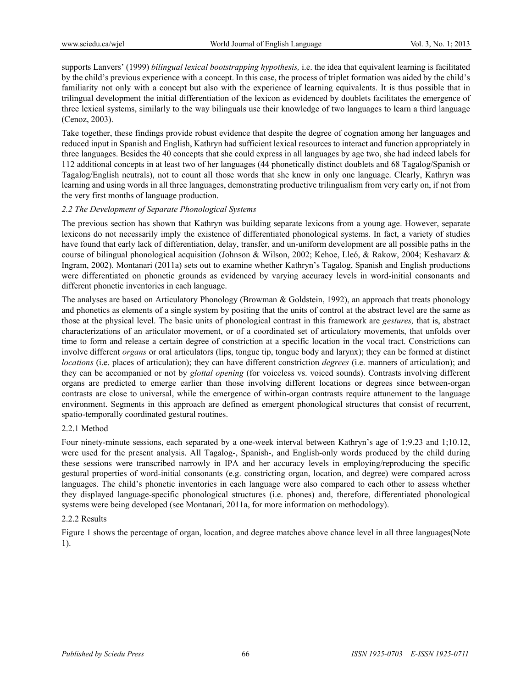supports Lanvers' (1999) *bilingual lexical bootstrapping hypothesis,* i.e. the idea that equivalent learning is facilitated by the child's previous experience with a concept. In this case, the process of triplet formation was aided by the child's familiarity not only with a concept but also with the experience of learning equivalents. It is thus possible that in trilingual development the initial differentiation of the lexicon as evidenced by doublets facilitates the emergence of three lexical systems, similarly to the way bilinguals use their knowledge of two languages to learn a third language (Cenoz, 2003).

Take together, these findings provide robust evidence that despite the degree of cognation among her languages and reduced input in Spanish and English, Kathryn had sufficient lexical resources to interact and function appropriately in three languages. Besides the 40 concepts that she could express in all languages by age two, she had indeed labels for 112 additional concepts in at least two of her languages (44 phonetically distinct doublets and 68 Tagalog/Spanish or Tagalog/English neutrals), not to count all those words that she knew in only one language. Clearly, Kathryn was learning and using words in all three languages, demonstrating productive trilingualism from very early on, if not from the very first months of language production.

# *2.2 The Development of Separate Phonological Systems*

The previous section has shown that Kathryn was building separate lexicons from a young age. However, separate lexicons do not necessarily imply the existence of differentiated phonological systems. In fact, a variety of studies have found that early lack of differentiation, delay, transfer, and un-uniform development are all possible paths in the course of bilingual phonological acquisition (Johnson & Wilson, 2002; Kehoe, Lleó, & Rakow, 2004; Keshavarz & Ingram, 2002). Montanari (2011a) sets out to examine whether Kathryn's Tagalog, Spanish and English productions were differentiated on phonetic grounds as evidenced by varying accuracy levels in word-initial consonants and different phonetic inventories in each language.

The analyses are based on Articulatory Phonology (Browman & Goldstein, 1992), an approach that treats phonology and phonetics as elements of a single system by positing that the units of control at the abstract level are the same as those at the physical level. The basic units of phonological contrast in this framework are *gestures,* that is, abstract characterizations of an articulator movement, or of a coordinated set of articulatory movements, that unfolds over time to form and release a certain degree of constriction at a specific location in the vocal tract. Constrictions can involve different *organs* or oral articulators (lips, tongue tip, tongue body and larynx); they can be formed at distinct *locations* (i.e. places of articulation); they can have different constriction *degrees* (i.e. manners of articulation); and they can be accompanied or not by *glottal opening* (for voiceless vs. voiced sounds). Contrasts involving different organs are predicted to emerge earlier than those involving different locations or degrees since between-organ contrasts are close to universal, while the emergence of within-organ contrasts require attunement to the language environment. Segments in this approach are defined as emergent phonological structures that consist of recurrent, spatio-temporally coordinated gestural routines.

#### 2.2.1 Method

Four ninety-minute sessions, each separated by a one-week interval between Kathryn's age of 1;9.23 and 1;10.12, were used for the present analysis. All Tagalog-, Spanish-, and English-only words produced by the child during these sessions were transcribed narrowly in IPA and her accuracy levels in employing/reproducing the specific gestural properties of word-initial consonants (e.g. constricting organ, location, and degree) were compared across languages. The child's phonetic inventories in each language were also compared to each other to assess whether they displayed language-specific phonological structures (i.e. phones) and, therefore, differentiated phonological systems were being developed (see Montanari, 2011a, for more information on methodology).

# 2.2.2 Results

Figure 1 shows the percentage of organ, location, and degree matches above chance level in all three languages(Note 1).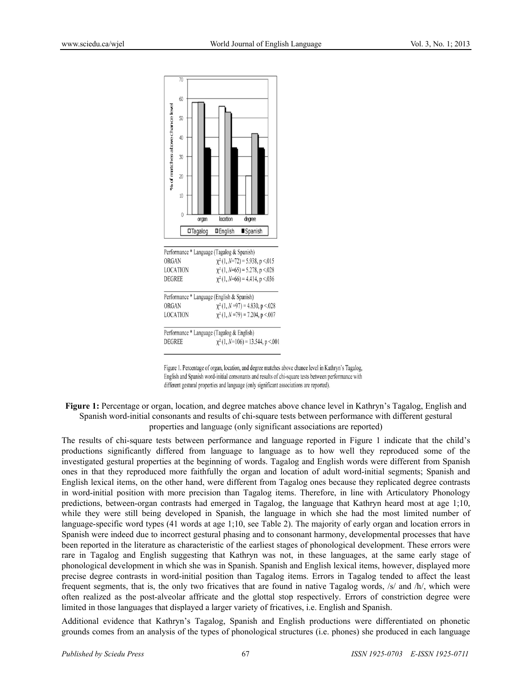|                                                          | /U              |  |                |  |                 |  |                                            |  |  |
|----------------------------------------------------------|-----------------|--|----------------|--|-----------------|--|--------------------------------------------|--|--|
|                                                          | 60              |  |                |  |                 |  |                                            |  |  |
| % of matches above chance level                          | 50              |  |                |  |                 |  |                                            |  |  |
|                                                          | 40              |  |                |  |                 |  |                                            |  |  |
|                                                          | 30              |  |                |  |                 |  |                                            |  |  |
|                                                          | 20              |  |                |  |                 |  |                                            |  |  |
|                                                          | 10              |  |                |  |                 |  |                                            |  |  |
|                                                          | n               |  | organ          |  | location        |  | degree                                     |  |  |
|                                                          |                 |  | $\Box$ Tagalog |  | <b>OEnglish</b> |  | Spanish                                    |  |  |
| ORGAN                                                    |                 |  |                |  |                 |  | Performance * Language (Tagalog & Spanish) |  |  |
|                                                          | <b>LOCATION</b> |  |                |  |                 |  | $\chi^2$ (1, N=72) = 5.938, p <.015        |  |  |
|                                                          |                 |  |                |  |                 |  | $\chi^2$ (1, N=65) = 5.278, p <.028        |  |  |
| <b>DEGREE</b>                                            |                 |  |                |  |                 |  | $\chi^2$ (1, N=66) = 4.414, p < 036        |  |  |
|                                                          |                 |  |                |  |                 |  | Performance * Language (English & Spanish) |  |  |
| ORGAN                                                    |                 |  |                |  |                 |  | $\chi^2$ (1, N = 97) = 4.830, p < 0.028    |  |  |
| <b>LOCATION</b><br>$\chi^2$ (1, N = 79) = 7.204, p <.007 |                 |  |                |  |                 |  |                                            |  |  |
| Performance * Language (Tagalog & English)               |                 |  |                |  |                 |  |                                            |  |  |
| <b>DEGREE</b>                                            |                 |  |                |  |                 |  | $\chi^2$ (1, N=106) = 13.544, p <.001      |  |  |

Figure 1. Percentage of organ, location, and degree matches above chance level in Kathryn's Tagalog, English and Spanish word-initial consonants and results of chi-square tests between performance with different gestural properties and language (only significant associations are reported).

## **Figure 1:** Percentage or organ, location, and degree matches above chance level in Kathryn's Tagalog, English and Spanish word-initial consonants and results of chi-square tests between performance with different gestural properties and language (only significant associations are reported)

The results of chi-square tests between performance and language reported in Figure 1 indicate that the child's productions significantly differed from language to language as to how well they reproduced some of the investigated gestural properties at the beginning of words. Tagalog and English words were different from Spanish ones in that they reproduced more faithfully the organ and location of adult word-initial segments; Spanish and English lexical items, on the other hand, were different from Tagalog ones because they replicated degree contrasts in word-initial position with more precision than Tagalog items. Therefore, in line with Articulatory Phonology predictions, between-organ contrasts had emerged in Tagalog, the language that Kathryn heard most at age 1;10, while they were still being developed in Spanish, the language in which she had the most limited number of language-specific word types (41 words at age 1;10, see Table 2). The majority of early organ and location errors in Spanish were indeed due to incorrect gestural phasing and to consonant harmony, developmental processes that have been reported in the literature as characteristic of the earliest stages of phonological development. These errors were rare in Tagalog and English suggesting that Kathryn was not, in these languages, at the same early stage of phonological development in which she was in Spanish. Spanish and English lexical items, however, displayed more precise degree contrasts in word-initial position than Tagalog items. Errors in Tagalog tended to affect the least frequent segments, that is, the only two fricatives that are found in native Tagalog words, /s/ and /h/, which were often realized as the post-alveolar affricate and the glottal stop respectively. Errors of constriction degree were limited in those languages that displayed a larger variety of fricatives, i.e. English and Spanish.

Additional evidence that Kathryn's Tagalog, Spanish and English productions were differentiated on phonetic grounds comes from an analysis of the types of phonological structures (i.e. phones) she produced in each language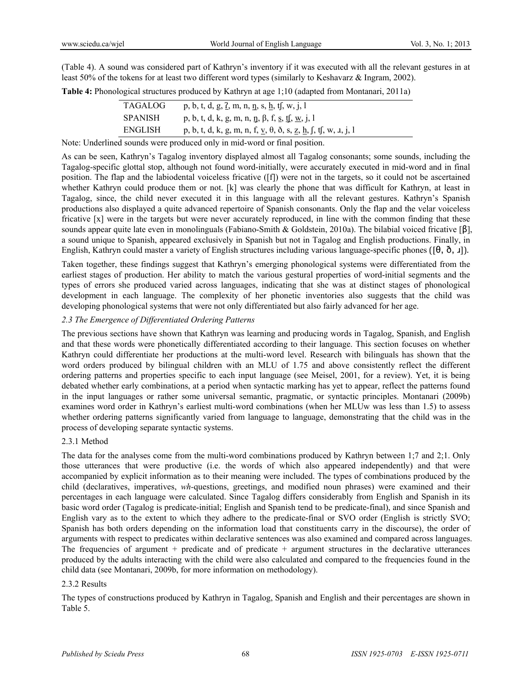(Table 4). A sound was considered part of Kathryn's inventory if it was executed with all the relevant gestures in at least 50% of the tokens for at least two different word types (similarly to Keshavarz & Ingram, 2002).

| TAGALOG        | p, b, t, d, g, $\frac{2}{1}$ , m, n, n, s, h, tf, w, j, l                                     |
|----------------|-----------------------------------------------------------------------------------------------|
| <b>SPANISH</b> | p, b, t, d, k, g, m, n, <u>n, <math>\beta</math>, f, s, tf, w, j, l</u>                       |
| <b>ENGLISH</b> | p, b, t, d, k, g, m, n, f, $\underline{v}$ , $\theta$ , $\delta$ , s, z, h, f, tf, w, u, j, l |

Note: Underlined sounds were produced only in mid-word or final position.

As can be seen, Kathryn's Tagalog inventory displayed almost all Tagalog consonants; some sounds, including the Tagalog-specific glottal stop, although not found word-initially, were accurately executed in mid-word and in final position. The flap and the labiodental voiceless fricative ([f]) were not in the targets, so it could not be ascertained whether Kathryn could produce them or not. [k] was clearly the phone that was difficult for Kathryn, at least in Tagalog, since, the child never executed it in this language with all the relevant gestures. Kathryn's Spanish productions also displayed a quite advanced repertoire of Spanish consonants. Only the flap and the velar voiceless fricative [x] were in the targets but were never accurately reproduced, in line with the common finding that these sounds appear quite late even in monolinguals (Fabiano-Smith & Goldstein, 2010a). The bilabial voiced fricative [β], a sound unique to Spanish, appeared exclusively in Spanish but not in Tagalog and English productions. Finally, in English, Kathryn could master a variety of English structures including various language-specific phones ([θ, ð, ɹ]).

Taken together, these findings suggest that Kathryn's emerging phonological systems were differentiated from the earliest stages of production. Her ability to match the various gestural properties of word-initial segments and the types of errors she produced varied across languages, indicating that she was at distinct stages of phonological development in each language. The complexity of her phonetic inventories also suggests that the child was developing phonological systems that were not only differentiated but also fairly advanced for her age.

#### *2.3 The Emergence of Differentiated Ordering Patterns*

The previous sections have shown that Kathryn was learning and producing words in Tagalog, Spanish, and English and that these words were phonetically differentiated according to their language. This section focuses on whether Kathryn could differentiate her productions at the multi-word level. Research with bilinguals has shown that the word orders produced by bilingual children with an MLU of 1.75 and above consistently reflect the different ordering patterns and properties specific to each input language (see Meisel, 2001, for a review). Yet, it is being debated whether early combinations, at a period when syntactic marking has yet to appear, reflect the patterns found in the input languages or rather some universal semantic, pragmatic, or syntactic principles. Montanari (2009b) examines word order in Kathryn's earliest multi-word combinations (when her MLUw was less than 1.5) to assess whether ordering patterns significantly varied from language to language, demonstrating that the child was in the process of developing separate syntactic systems.

#### 2.3.1 Method

The data for the analyses come from the multi-word combinations produced by Kathryn between 1;7 and 2;1. Only those utterances that were productive (i.e. the words of which also appeared independently) and that were accompanied by explicit information as to their meaning were included. The types of combinations produced by the child (declaratives, imperatives, *wh-*questions, greetings, and modified noun phrases) were examined and their percentages in each language were calculated. Since Tagalog differs considerably from English and Spanish in its basic word order (Tagalog is predicate-initial; English and Spanish tend to be predicate-final), and since Spanish and English vary as to the extent to which they adhere to the predicate-final or SVO order (English is strictly SVO; Spanish has both orders depending on the information load that constituents carry in the discourse), the order of arguments with respect to predicates within declarative sentences was also examined and compared across languages. The frequencies of argument + predicate and of predicate + argument structures in the declarative utterances produced by the adults interacting with the child were also calculated and compared to the frequencies found in the child data (see Montanari, 2009b, for more information on methodology).

#### 2.3.2 Results

The types of constructions produced by Kathryn in Tagalog, Spanish and English and their percentages are shown in Table 5.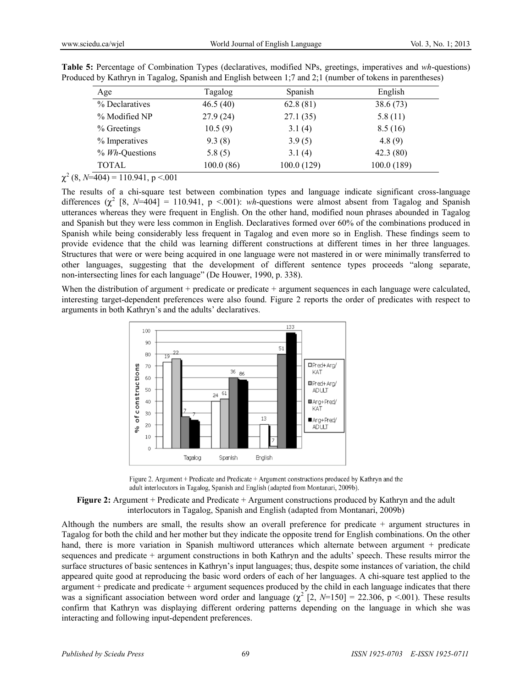| Age              | Tagalog   | Spanish    | English    |  |  |
|------------------|-----------|------------|------------|--|--|
| % Declaratives   | 46.5(40)  | 62.8(81)   | 38.6 (73)  |  |  |
| % Modified NP    | 27.9(24)  | 27.1(35)   | 5.8(11)    |  |  |
| % Greetings      | 10.5(9)   | 3.1(4)     | 8.5(16)    |  |  |
| % Imperatives    | 9.3(8)    | 3.9(5)     | 4.8(9)     |  |  |
| $% Wh-Questions$ | 5.8(5)    | 3.1(4)     | 42.3(80)   |  |  |
| <b>TOTAL</b>     | 100.0(86) | 100.0(129) | 100.0(189) |  |  |

**Table 5:** Percentage of Combination Types (declaratives, modified NPs, greetings, imperatives and *wh*-questions) Produced by Kathryn in Tagalog, Spanish and English between 1;7 and 2;1 (number of tokens in parentheses)

 $\chi^2$  (8, *N*=404) = 110.941, p <.001

The results of a chi-square test between combination types and language indicate significant cross-language differences  $(\chi^2$  [8, *N*=404] = 110.941, p <.001): *wh*-questions were almost absent from Tagalog and Spanish utterances whereas they were frequent in English. On the other hand, modified noun phrases abounded in Tagalog and Spanish but they were less common in English. Declaratives formed over 60% of the combinations produced in Spanish while being considerably less frequent in Tagalog and even more so in English. These findings seem to provide evidence that the child was learning different constructions at different times in her three languages. Structures that were or were being acquired in one language were not mastered in or were minimally transferred to other languages, suggesting that the development of different sentence types proceeds "along separate, non-intersecting lines for each language" (De Houwer, 1990, p. 338).

When the distribution of argument + predicate or predicate + argument sequences in each language were calculated, interesting target-dependent preferences were also found. Figure 2 reports the order of predicates with respect to arguments in both Kathryn's and the adults' declaratives.





**Figure 2:** Argument + Predicate and Predicate + Argument constructions produced by Kathryn and the adult interlocutors in Tagalog, Spanish and English (adapted from Montanari, 2009b)

Although the numbers are small, the results show an overall preference for predicate + argument structures in Tagalog for both the child and her mother but they indicate the opposite trend for English combinations. On the other hand, there is more variation in Spanish multiword utterances which alternate between argument + predicate sequences and predicate + argument constructions in both Kathryn and the adults' speech. These results mirror the surface structures of basic sentences in Kathryn's input languages; thus, despite some instances of variation, the child appeared quite good at reproducing the basic word orders of each of her languages. A chi-square test applied to the argument + predicate and predicate + argument sequences produced by the child in each language indicates that there was a significant association between word order and language  $(\chi^2 \,[2, N=150] = 22.306, p \le 0.001)$ . These results confirm that Kathryn was displaying different ordering patterns depending on the language in which she was interacting and following input-dependent preferences.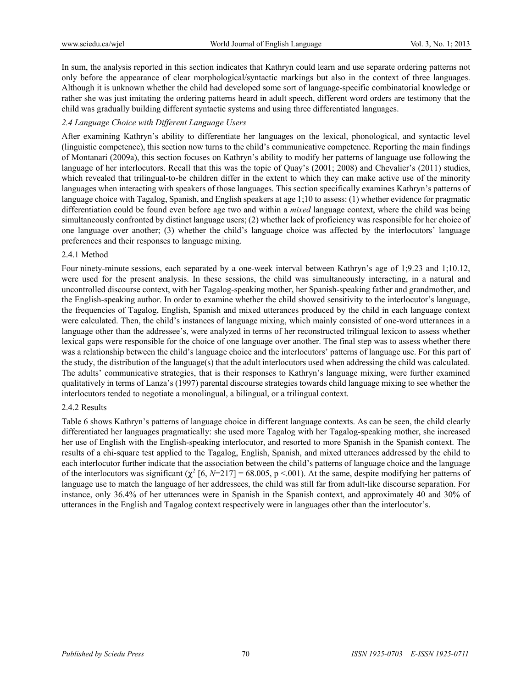In sum, the analysis reported in this section indicates that Kathryn could learn and use separate ordering patterns not only before the appearance of clear morphological/syntactic markings but also in the context of three languages. Although it is unknown whether the child had developed some sort of language-specific combinatorial knowledge or rather she was just imitating the ordering patterns heard in adult speech, different word orders are testimony that the child was gradually building different syntactic systems and using three differentiated languages.

# *2.4 Language Choice with Different Language Users*

After examining Kathryn's ability to differentiate her languages on the lexical, phonological, and syntactic level (linguistic competence), this section now turns to the child's communicative competence. Reporting the main findings of Montanari (2009a), this section focuses on Kathryn's ability to modify her patterns of language use following the language of her interlocutors. Recall that this was the topic of Quay's (2001; 2008) and Chevalier's (2011) studies, which revealed that trilingual-to-be children differ in the extent to which they can make active use of the minority languages when interacting with speakers of those languages. This section specifically examines Kathryn's patterns of language choice with Tagalog, Spanish, and English speakers at age 1;10 to assess: (1) whether evidence for pragmatic differentiation could be found even before age two and within a *mixed* language context, where the child was being simultaneously confronted by distinct language users; (2) whether lack of proficiency was responsible for her choice of one language over another; (3) whether the child's language choice was affected by the interlocutors' language preferences and their responses to language mixing.

#### 2.4.1 Method

Four ninety-minute sessions, each separated by a one-week interval between Kathryn's age of 1;9.23 and 1;10.12, were used for the present analysis. In these sessions, the child was simultaneously interacting, in a natural and uncontrolled discourse context, with her Tagalog-speaking mother, her Spanish-speaking father and grandmother, and the English-speaking author. In order to examine whether the child showed sensitivity to the interlocutor's language, the frequencies of Tagalog, English, Spanish and mixed utterances produced by the child in each language context were calculated. Then, the child's instances of language mixing, which mainly consisted of one-word utterances in a language other than the addressee's, were analyzed in terms of her reconstructed trilingual lexicon to assess whether lexical gaps were responsible for the choice of one language over another. The final step was to assess whether there was a relationship between the child's language choice and the interlocutors' patterns of language use. For this part of the study, the distribution of the language(s) that the adult interlocutors used when addressing the child was calculated. The adults' communicative strategies, that is their responses to Kathryn's language mixing, were further examined qualitatively in terms of Lanza's (1997) parental discourse strategies towards child language mixing to see whether the interlocutors tended to negotiate a monolingual, a bilingual, or a trilingual context.

#### 2.4.2 Results

Table 6 shows Kathryn's patterns of language choice in different language contexts. As can be seen, the child clearly differentiated her languages pragmatically: she used more Tagalog with her Tagalog-speaking mother, she increased her use of English with the English-speaking interlocutor, and resorted to more Spanish in the Spanish context. The results of a chi-square test applied to the Tagalog, English, Spanish, and mixed utterances addressed by the child to each interlocutor further indicate that the association between the child's patterns of language choice and the language of the interlocutors was significant  $(\chi^2 \left[6, N=217\right] = 68.005, p < .001)$ . At the same, despite modifying her patterns of language use to match the language of her addressees, the child was still far from adult-like discourse separation. For instance, only 36.4% of her utterances were in Spanish in the Spanish context, and approximately 40 and 30% of utterances in the English and Tagalog context respectively were in languages other than the interlocutor's.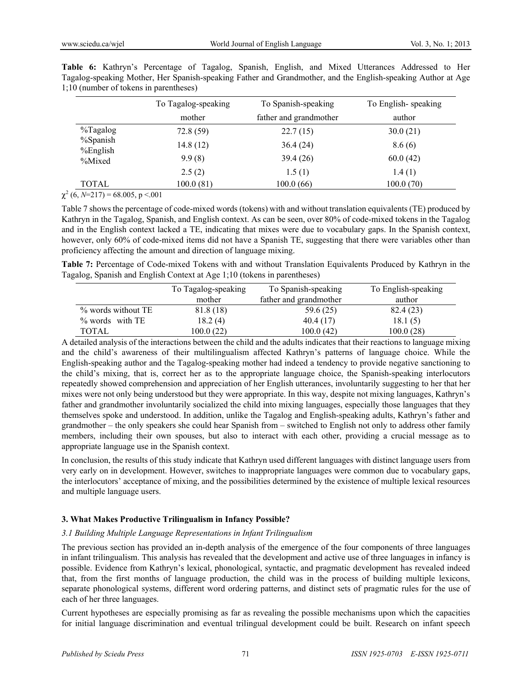|                         | To Tagalog-speaking | To Spanish-speaking    | To English-speaking |
|-------------------------|---------------------|------------------------|---------------------|
|                         | mother              | father and grandmother | author              |
| %Tagalog                | 72.8(59)            | 22.7(15)               | 30.0(21)            |
| %Spanish<br>$%$ English | 14.8(12)            | 36.4(24)               | 8.6(6)              |
| %Mixed                  | 9.9(8)              | 39.4(26)               | 60.0(42)            |
|                         | 2.5(2)              | 1.5(1)                 | 1.4(1)              |
| <b>TOTAL</b>            | 100.0(81)           | 100.0(66)              | 100.0(70)           |

**Table 6:** Kathryn's Percentage of Tagalog, Spanish, English, and Mixed Utterances Addressed to Her Tagalog-speaking Mother, Her Spanish-speaking Father and Grandmother, and the English-speaking Author at Age 1;10 (number of tokens in parentheses)

 $\chi^2$  (6, *N*=217) = 68.005, p <.001

Table 7 shows the percentage of code-mixed words (tokens) with and without translation equivalents (TE) produced by Kathryn in the Tagalog, Spanish, and English context. As can be seen, over 80% of code-mixed tokens in the Tagalog and in the English context lacked a TE, indicating that mixes were due to vocabulary gaps. In the Spanish context, however, only 60% of code-mixed items did not have a Spanish TE, suggesting that there were variables other than proficiency affecting the amount and direction of language mixing.

**Table 7:** Percentage of Code-mixed Tokens with and without Translation Equivalents Produced by Kathryn in the Tagalog, Spanish and English Context at Age 1;10 (tokens in parentheses)

|                       | To Tagalog-speaking | To Spanish-speaking    | To English-speaking |
|-----------------------|---------------------|------------------------|---------------------|
|                       | mother              | father and grandmother | author              |
| $\%$ words without TE | 81.8 (18)           | 59.6 (25)              | 82.4 (23)           |
| $\%$ words with TE    | 18.2(4)             | 40.4 (17)              | 18.1(5)             |
| TOTAL                 | 100.0(22)           | 100.0(42)              | 100.0(28)           |

A detailed analysis of the interactions between the child and the adults indicates that their reactions to language mixing and the child's awareness of their multilingualism affected Kathryn's patterns of language choice. While the English-speaking author and the Tagalog-speaking mother had indeed a tendency to provide negative sanctioning to the child's mixing, that is, correct her as to the appropriate language choice, the Spanish-speaking interlocutors repeatedly showed comprehension and appreciation of her English utterances, involuntarily suggesting to her that her mixes were not only being understood but they were appropriate. In this way, despite not mixing languages, Kathryn's father and grandmother involuntarily socialized the child into mixing languages, especially those languages that they themselves spoke and understood. In addition, unlike the Tagalog and English-speaking adults, Kathryn's father and grandmother – the only speakers she could hear Spanish from – switched to English not only to address other family members, including their own spouses, but also to interact with each other, providing a crucial message as to appropriate language use in the Spanish context.

In conclusion, the results of this study indicate that Kathryn used different languages with distinct language users from very early on in development. However, switches to inappropriate languages were common due to vocabulary gaps, the interlocutors' acceptance of mixing, and the possibilities determined by the existence of multiple lexical resources and multiple language users.

#### **3. What Makes Productive Trilingualism in Infancy Possible?**

#### *3.1 Building Multiple Language Representations in Infant Trilingualism*

The previous section has provided an in-depth analysis of the emergence of the four components of three languages in infant trilingualism. This analysis has revealed that the development and active use of three languages in infancy is possible. Evidence from Kathryn's lexical, phonological, syntactic, and pragmatic development has revealed indeed that, from the first months of language production, the child was in the process of building multiple lexicons, separate phonological systems, different word ordering patterns, and distinct sets of pragmatic rules for the use of each of her three languages.

Current hypotheses are especially promising as far as revealing the possible mechanisms upon which the capacities for initial language discrimination and eventual trilingual development could be built. Research on infant speech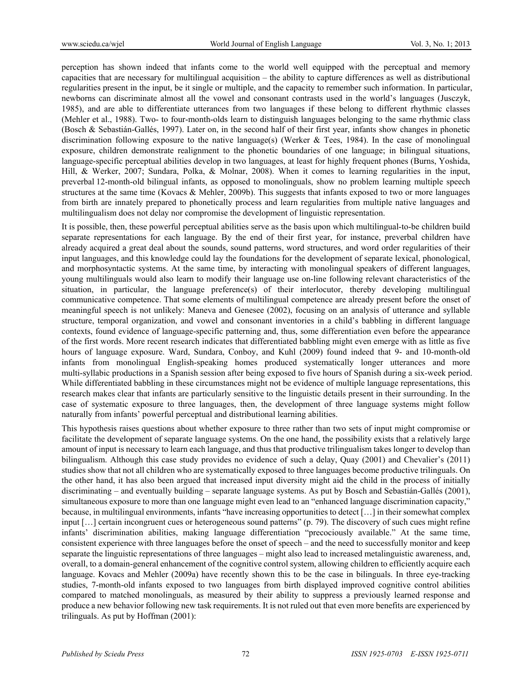perception has shown indeed that infants come to the world well equipped with the perceptual and memory capacities that are necessary for multilingual acquisition – the ability to capture differences as well as distributional regularities present in the input, be it single or multiple, and the capacity to remember such information. In particular, newborns can discriminate almost all the vowel and consonant contrasts used in the world's languages (Jusczyk, 1985), and are able to differentiate utterances from two languages if these belong to different rhythmic classes (Mehler et al., 1988). Two- to four-month-olds learn to distinguish languages belonging to the same rhythmic class (Bosch & Sebastián-Gallés, 1997). Later on, in the second half of their first year, infants show changes in phonetic discrimination following exposure to the native language(s) (Werker & Tees, 1984). In the case of monolingual exposure, children demonstrate realignment to the phonetic boundaries of one language; in bilingual situations, language-specific perceptual abilities develop in two languages, at least for highly frequent phones (Burns, Yoshida, Hill, & Werker, 2007; Sundara, Polka, & Molnar, 2008). When it comes to learning regularities in the input, preverbal 12-month-old bilingual infants, as opposed to monolinguals, show no problem learning multiple speech structures at the same time (Kovacs & Mehler, 2009b). This suggests that infants exposed to two or more languages from birth are innately prepared to phonetically process and learn regularities from multiple native languages and multilingualism does not delay nor compromise the development of linguistic representation.

It is possible, then, these powerful perceptual abilities serve as the basis upon which multilingual-to-be children build separate representations for each language. By the end of their first year, for instance, preverbal children have already acquired a great deal about the sounds, sound patterns, word structures, and word order regularities of their input languages, and this knowledge could lay the foundations for the development of separate lexical, phonological, and morphosyntactic systems. At the same time, by interacting with monolingual speakers of different languages, young multilinguals would also learn to modify their language use on-line following relevant characteristics of the situation, in particular, the language preference(s) of their interlocutor, thereby developing multilingual communicative competence. That some elements of multilingual competence are already present before the onset of meaningful speech is not unlikely: Maneva and Genesee (2002), focusing on an analysis of utterance and syllable structure, temporal organization, and vowel and consonant inventories in a child's babbling in different language contexts, found evidence of language-specific patterning and, thus, some differentiation even before the appearance of the first words. More recent research indicates that differentiated babbling might even emerge with as little as five hours of language exposure. Ward, Sundara, Conboy, and Kuhl (2009) found indeed that 9- and 10-month-old infants from monolingual English-speaking homes produced systematically longer utterances and more multi-syllabic productions in a Spanish session after being exposed to five hours of Spanish during a six-week period. While differentiated babbling in these circumstances might not be evidence of multiple language representations, this research makes clear that infants are particularly sensitive to the linguistic details present in their surrounding. In the case of systematic exposure to three languages, then, the development of three language systems might follow naturally from infants' powerful perceptual and distributional learning abilities.

This hypothesis raises questions about whether exposure to three rather than two sets of input might compromise or facilitate the development of separate language systems. On the one hand, the possibility exists that a relatively large amount of input is necessary to learn each language, and thus that productive trilingualism takes longer to develop than bilingualism. Although this case study provides no evidence of such a delay, Quay (2001) and Chevalier's (2011) studies show that not all children who are systematically exposed to three languages become productive trilinguals. On the other hand, it has also been argued that increased input diversity might aid the child in the process of initially discriminating – and eventually building – separate language systems. As put by Bosch and Sebastián-Gallés (2001), simultaneous exposure to more than one language might even lead to an "enhanced language discrimination capacity," because, in multilingual environments, infants "have increasing opportunities to detect […] in their somewhat complex input […] certain incongruent cues or heterogeneous sound patterns" (p. 79). The discovery of such cues might refine infants' discrimination abilities, making language differentiation "precociously available." At the same time, consistent experience with three languages before the onset of speech – and the need to successfully monitor and keep separate the linguistic representations of three languages – might also lead to increased metalinguistic awareness, and, overall, to a domain-general enhancement of the cognitive control system, allowing children to efficiently acquire each language. Kovacs and Mehler (2009a) have recently shown this to be the case in bilinguals. In three eye-tracking studies, 7-month-old infants exposed to two languages from birth displayed improved cognitive control abilities compared to matched monolinguals, as measured by their ability to suppress a previously learned response and produce a new behavior following new task requirements. It is not ruled out that even more benefits are experienced by trilinguals. As put by Hoffman (2001):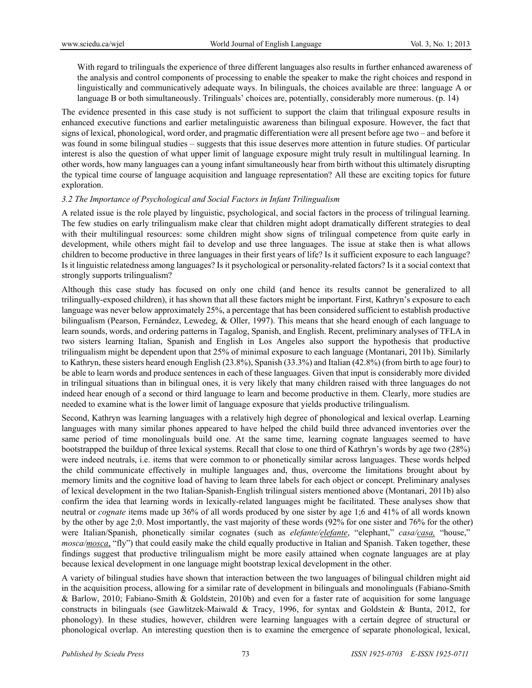With regard to trilinguals the experience of three different languages also results in further enhanced awareness of the analysis and control components of processing to enable the speaker to make the right choices and respond in linguistically and communicatively adequate ways. In bilinguals, the choices available are three: language A or language B or both simultaneously. Trilinguals' choices are, potentially, considerably more numerous. (p. 14)

The evidence presented in this case study is not sufficient to support the claim that trilingual exposure results in enhanced executive functions and earlier metalinguistic awareness than bilingual exposure. However, the fact that signs of lexical, phonological, word order, and pragmatic differentiation were all present before age two – and before it was found in some bilingual studies – suggests that this issue deserves more attention in future studies. Of particular interest is also the question of what upper limit of language exposure might truly result in multilingual learning. In other words, how many languages can a young infant simultaneously hear from birth without this ultimately disrupting the typical time course of language acquisition and language representation? All these are exciting topics for future exploration.

#### *3.2 The Importance of Psychological and Social Factors in Infant Trilingualism*

A related issue is the role played by linguistic, psychological, and social factors in the process of trilingual learning. The few studies on early trilingualism make clear that children might adopt dramatically different strategies to deal with their multilingual resources: some children might show signs of trilingual competence from quite early in development, while others might fail to develop and use three languages. The issue at stake then is what allows children to become productive in three languages in their first years of life? Is it sufficient exposure to each language? Is it linguistic relatedness among languages? Is it psychological or personality-related factors? Is it a social context that strongly supports trilingualism?

Although this case study has focused on only one child (and hence its results cannot be generalized to all trilingually-exposed children), it has shown that all these factors might be important. First, Kathryn's exposure to each language was never below approximately 25%, a percentage that has been considered sufficient to establish productive bilingualism (Pearson, Fernández, Lewedeg, & Oller, 1997). This means that she heard enough of each language to learn sounds, words, and ordering patterns in Tagalog, Spanish, and English. Recent, preliminary analyses of TFLA in two sisters learning Italian, Spanish and English in Los Angeles also support the hypothesis that productive trilingualism might be dependent upon that 25% of minimal exposure to each language (Montanari, 2011b). Similarly to Kathryn, these sisters heard enough English (23.8%), Spanish (33.3%) and Italian (42.8%) (from birth to age four) to be able to learn words and produce sentences in each of these languages. Given that input is considerably more divided in trilingual situations than in bilingual ones, it is very likely that many children raised with three languages do not indeed hear enough of a second or third language to learn and become productive in them. Clearly, more studies are needed to examine what is the lower limit of language exposure that yields productive trilingualism.

Second, Kathryn was learning languages with a relatively high degree of phonological and lexical overlap. Learning languages with many similar phones appeared to have helped the child build three advanced inventories over the same period of time monolinguals build one. At the same time, learning cognate languages seemed to have bootstrapped the buildup of three lexical systems. Recall that close to one third of Kathryn's words by age two (28%) were indeed neutrals, i.e. items that were common to or phonetically similar across languages. These words helped the child communicate effectively in multiple languages and, thus, overcome the limitations brought about by memory limits and the cognitive load of having to learn three labels for each object or concept. Preliminary analyses of lexical development in the two Italian-Spanish-English trilingual sisters mentioned above (Montanari, 2011b) also confirm the idea that learning words in lexically-related languages might be facilitated. These analyses show that neutral or *cognate* items made up 36% of all words produced by one sister by age 1;6 and 41% of all words known by the other by age 2;0. Most importantly, the vast majority of these words (92% for one sister and 76% for the other) were Italian/Spanish, phonetically similar cognates (such as *elefante/elefante*, "elephant," *casa/casa*, "house," *mosca/mosca*, "fly") that could easily make the child equally productive in Italian and Spanish. Taken together, these findings suggest that productive trilingualism might be more easily attained when cognate languages are at play because lexical development in one language might bootstrap lexical development in the other.

A variety of bilingual studies have shown that interaction between the two languages of bilingual children might aid in the acquisition process, allowing for a similar rate of development in bilinguals and monolinguals (Fabiano-Smith & Barlow, 2010; Fabiano-Smith & Goldstein, 2010b) and even for a faster rate of acquisition for some language constructs in bilinguals (see Gawlitzek-Maiwald & Tracy, 1996, for syntax and Goldstein & Bunta, 2012, for phonology). In these studies, however, children were learning languages with a certain degree of structural or phonological overlap. An interesting question then is to examine the emergence of separate phonological, lexical,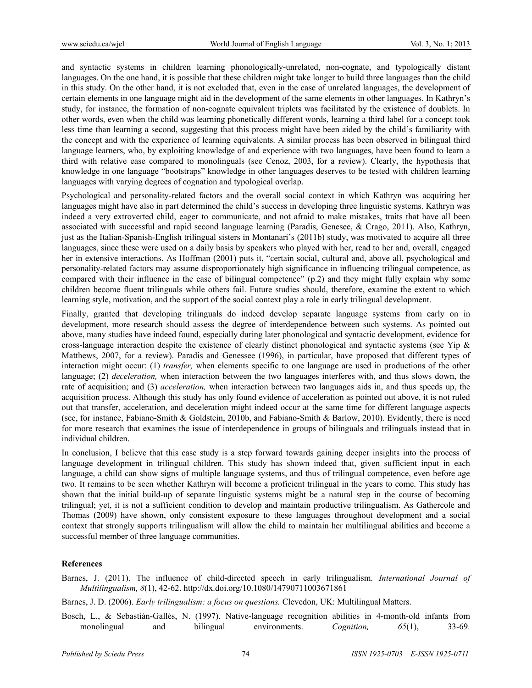and syntactic systems in children learning phonologically-unrelated, non-cognate, and typologically distant languages. On the one hand, it is possible that these children might take longer to build three languages than the child in this study. On the other hand, it is not excluded that, even in the case of unrelated languages, the development of certain elements in one language might aid in the development of the same elements in other languages. In Kathryn's study, for instance, the formation of non-cognate equivalent triplets was facilitated by the existence of doublets. In other words, even when the child was learning phonetically different words, learning a third label for a concept took less time than learning a second, suggesting that this process might have been aided by the child's familiarity with the concept and with the experience of learning equivalents. A similar process has been observed in bilingual third language learners, who, by exploiting knowledge of and experience with two languages, have been found to learn a third with relative ease compared to monolinguals (see Cenoz, 2003, for a review). Clearly, the hypothesis that knowledge in one language "bootstraps" knowledge in other languages deserves to be tested with children learning languages with varying degrees of cognation and typological overlap.

Psychological and personality-related factors and the overall social context in which Kathryn was acquiring her languages might have also in part determined the child's success in developing three linguistic systems. Kathryn was indeed a very extroverted child, eager to communicate, and not afraid to make mistakes, traits that have all been associated with successful and rapid second language learning (Paradis, Genesee, & Crago, 2011). Also, Kathryn, just as the Italian-Spanish-English trilingual sisters in Montanari's (2011b) study, was motivated to acquire all three languages, since these were used on a daily basis by speakers who played with her, read to her and, overall, engaged her in extensive interactions. As Hoffman (2001) puts it, "certain social, cultural and, above all, psychological and personality-related factors may assume disproportionately high significance in influencing trilingual competence, as compared with their influence in the case of bilingual competence" (p.2) and they might fully explain why some children become fluent trilinguals while others fail. Future studies should, therefore, examine the extent to which learning style, motivation, and the support of the social context play a role in early trilingual development.

Finally, granted that developing trilinguals do indeed develop separate language systems from early on in development, more research should assess the degree of interdependence between such systems. As pointed out above, many studies have indeed found, especially during later phonological and syntactic development, evidence for cross-language interaction despite the existence of clearly distinct phonological and syntactic systems (see Yip  $\&$ Matthews, 2007, for a review). Paradis and Genessee (1996), in particular, have proposed that different types of interaction might occur: (1) *transfer,* when elements specific to one language are used in productions of the other language; (2) *deceleration,* when interaction between the two languages interferes with, and thus slows down, the rate of acquisition; and (3) *acceleration,* when interaction between two languages aids in, and thus speeds up, the acquisition process. Although this study has only found evidence of acceleration as pointed out above, it is not ruled out that transfer, acceleration, and deceleration might indeed occur at the same time for different language aspects (see, for instance, Fabiano-Smith & Goldstein, 2010b, and Fabiano-Smith & Barlow, 2010). Evidently, there is need for more research that examines the issue of interdependence in groups of bilinguals and trilinguals instead that in individual children.

In conclusion, I believe that this case study is a step forward towards gaining deeper insights into the process of language development in trilingual children. This study has shown indeed that, given sufficient input in each language, a child can show signs of multiple language systems, and thus of trilingual competence, even before age two. It remains to be seen whether Kathryn will become a proficient trilingual in the years to come. This study has shown that the initial build-up of separate linguistic systems might be a natural step in the course of becoming trilingual; yet, it is not a sufficient condition to develop and maintain productive trilingualism. As Gathercole and Thomas (2009) have shown, only consistent exposure to these languages throughout development and a social context that strongly supports trilingualism will allow the child to maintain her multilingual abilities and become a successful member of three language communities.

#### **References**

Barnes, J. (2011). The influence of child-directed speech in early trilingualism. *International Journal of Multilingualism, 8*(1), 42-62. http://dx.doi.org/10.1080/14790711003671861

Barnes, J. D. (2006). *Early trilingualism: a focus on questions.* Clevedon, UK: Multilingual Matters.

Bosch, L., & Sebastián-Gallés, N. (1997). Native-language recognition abilities in 4-month-old infants from monolingual and bilingual environments. *Cognition, 65*(1), 33-69.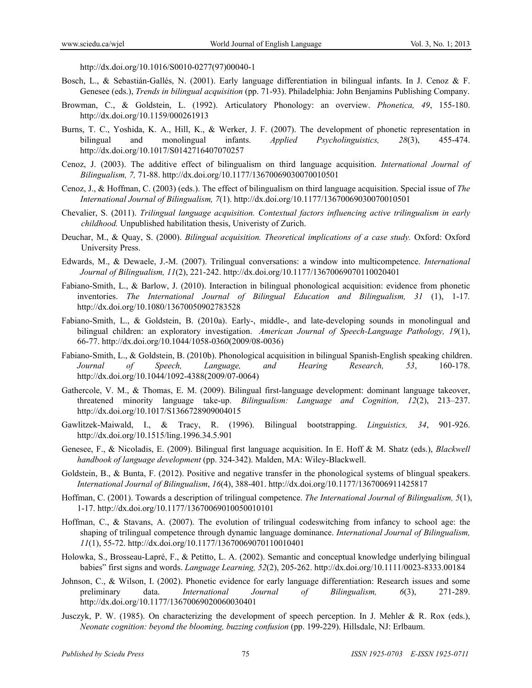http://dx.doi.org/10.1016/S0010-0277(97)00040-1

- Bosch, L., & Sebastián-Gallés, N. (2001). Early language differentiation in bilingual infants. In J. Cenoz & F. Genesee (eds.), *Trends in bilingual acquisition* (pp. 71-93). Philadelphia: John Benjamins Publishing Company.
- Browman, C., & Goldstein, L. (1992). Articulatory Phonology: an overview. *Phonetica, 49*, 155-180. http://dx.doi.org/10.1159/000261913
- Burns, T. C., Yoshida, K. A., Hill, K., & Werker, J. F. (2007). The development of phonetic representation in bilingual and monolingual infants. *Applied Psycholinguistics, 28*(3), 455-474. http://dx.doi.org/10.1017/S0142716407070257
- Cenoz, J. (2003). The additive effect of bilingualism on third language acquisition. *International Journal of Bilingualism, 7,* 71-88. http://dx.doi.org/10.1177/13670069030070010501
- Cenoz, J., & Hoffman, C. (2003) (eds.). The effect of bilingualism on third language acquisition. Special issue of *The International Journal of Bilingualism, 7*(1). http://dx.doi.org/10.1177/13670069030070010501
- Chevalier, S. (2011). *Trilingual language acquisition. Contextual factors influencing active trilingualism in early childhood.* Unpublished habilitation thesis, Univeristy of Zurich.
- Deuchar, M., & Quay, S. (2000). *Bilingual acquisition. Theoretical implications of a case study.* Oxford: Oxford University Press.
- Edwards, M., & Dewaele, J.-M. (2007). Trilingual conversations: a window into multicompetence. *International Journal of Bilingualism, 11*(2), 221-242. http://dx.doi.org/10.1177/13670069070110020401
- Fabiano-Smith, L., & Barlow, J. (2010). Interaction in bilingual phonological acquisition: evidence from phonetic inventories. *The International Journal of Bilingual Education and Bilingualism, 31* (1), 1-17*.* http://dx.doi.org/10.1080/13670050902783528
- Fabiano-Smith, L., & Goldstein, B. (2010a). Early-, middle-, and late-developing sounds in monolingual and bilingual children: an exploratory investigation. *American Journal of Speech-Language Pathology, 19*(1), 66-77. http://dx.doi.org/10.1044/1058-0360(2009/08-0036)
- Fabiano-Smith, L., & Goldstein, B. (2010b). Phonological acquisition in bilingual Spanish-English speaking children. *Journal of Speech, Language, and Hearing Research, 53*, 160-178. http://dx.doi.org/10.1044/1092-4388(2009/07-0064)
- Gathercole, V. M., & Thomas, E. M. (2009). Bilingual first-language development: dominant language takeover, threatened minority language take-up. *Bilingualism: Language and Cognition, 12*(2), 213–237. http://dx.doi.org/10.1017/S1366728909004015
- Gawlitzek-Maiwald, I., & Tracy, R. (1996). Bilingual bootstrapping. *Linguistics, 34*, 901-926. http://dx.doi.org/10.1515/ling.1996.34.5.901
- Genesee, F., & Nicoladis, E. (2009). Bilingual first language acquisition. In E. Hoff & M. Shatz (eds.), *Blackwell handbook of language development* (pp. 324-342). Malden, MA: Wiley-Blackwell.
- Goldstein, B., & Bunta, F. (2012). Positive and negative transfer in the phonological systems of blingual speakers. *International Journal of Bilingualism*, *16*(4), 388-401. http://dx.doi.org/10.1177/1367006911425817
- Hoffman, C. (2001). Towards a description of trilingual competence. *The International Journal of Bilingualism, 5*(1), 1-17. http://dx.doi.org/10.1177/13670069010050010101
- Hoffman, C., & Stavans, A. (2007). The evolution of trilingual codeswitching from infancy to school age: the shaping of trilingual competence through dynamic language dominance. *International Journal of Bilingualism, 11*(1), 55-72. http://dx.doi.org/10.1177/13670069070110010401
- Holowka, S., Brosseau-Lapré, F., & Petitto, L. A. (2002). Semantic and conceptual knowledge underlying bilingual babies" first signs and words. *Language Learning, 52*(2), 205-262. http://dx.doi.org/10.1111/0023-8333.00184
- Johnson, C., & Wilson, I. (2002). Phonetic evidence for early language differentiation: Research issues and some preliminary data. *International Journal of Bilingualism, 6*(3), 271-289. http://dx.doi.org/10.1177/13670069020060030401
- Jusczyk, P. W. (1985). On characterizing the development of speech perception. In J. Mehler & R. Rox (eds.), *Neonate cognition: beyond the blooming, buzzing confusion* (pp. 199-229). Hillsdale, NJ: Erlbaum.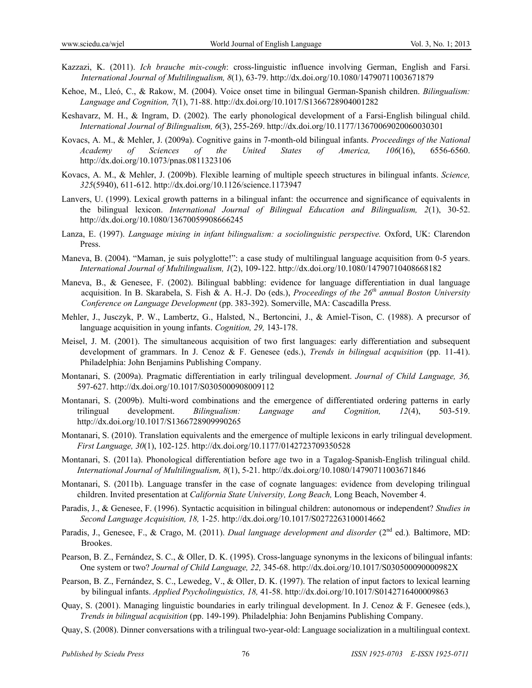- Kazzazi, K. (2011). *Ich brauche mix-cough*: cross-linguistic influence involving German, English and Farsi. *International Journal of Multilingualism, 8*(1), 63-79. http://dx.doi.org/10.1080/14790711003671879
- Kehoe, M., Lleó, C., & Rakow, M. (2004). Voice onset time in bilingual German-Spanish children. *Bilingualism: Language and Cognition, 7*(1), 71-88. http://dx.doi.org/10.1017/S1366728904001282
- Keshavarz, M. H., & Ingram, D. (2002). The early phonological development of a Farsi-English bilingual child. *International Journal of Bilingualism, 6*(3), 255-269. http://dx.doi.org/10.1177/13670069020060030301
- Kovacs, A. M., & Mehler, J. (2009a). Cognitive gains in 7-month-old bilingual infants. *Proceedings of the National Academy of Sciences of the United States of America, 106*(16), 6556-6560. http://dx.doi.org/10.1073/pnas.0811323106
- Kovacs, A. M., & Mehler, J. (2009b). Flexible learning of multiple speech structures in bilingual infants. *Science, 325*(5940), 611-612. http://dx.doi.org/10.1126/science.1173947
- Lanvers, U. (1999). Lexical growth patterns in a bilingual infant: the occurrence and significance of equivalents in the bilingual lexicon. *International Journal of Bilingual Education and Bilingualism, 2*(1), 30-52. http://dx.doi.org/10.1080/13670059908666245
- Lanza, E. (1997). *Language mixing in infant bilingualism: a sociolinguistic perspective.* Oxford, UK: Clarendon Press.
- Maneva, B. (2004). "Maman, je suis polyglotte!": a case study of multilingual language acquisition from 0-5 years. *International Journal of Multilingualism, 1*(2), 109-122. http://dx.doi.org/10.1080/14790710408668182
- Maneva, B., & Genesee, F. (2002). Bilingual babbling: evidence for language differentiation in dual language acquisition. In B. Skarabela, S. Fish & A. H.-J. Do (eds.), *Proceedings of the 26th annual Boston University Conference on Language Development* (pp. 383-392). Somerville, MA: Cascadilla Press.
- Mehler, J., Jusczyk, P. W., Lambertz, G., Halsted, N., Bertoncini, J., & Amiel-Tison, C. (1988). A precursor of language acquisition in young infants. *Cognition, 29,* 143-178.
- Meisel, J. M. (2001). The simultaneous acquisition of two first languages: early differentiation and subsequent development of grammars. In J. Cenoz & F. Genesee (eds.), *Trends in bilingual acquisition* (pp. 11-41). Philadelphia: John Benjamins Publishing Company.
- Montanari, S. (2009a). Pragmatic differentiation in early trilingual development. *Journal of Child Language, 36,* 597-627. http://dx.doi.org/10.1017/S0305000908009112
- Montanari, S. (2009b). Multi-word combinations and the emergence of differentiated ordering patterns in early trilingual development. *Bilingualism: Language and Cognition, 12*(4), 503-519. http://dx.doi.org/10.1017/S1366728909990265
- Montanari, S. (2010). Translation equivalents and the emergence of multiple lexicons in early trilingual development. *First Language, 30*(1), 102-125. http://dx.doi.org/10.1177/0142723709350528
- Montanari, S. (2011a). Phonological differentiation before age two in a Tagalog-Spanish-English trilingual child. *International Journal of Multilingualism, 8*(1), 5-21. http://dx.doi.org/10.1080/14790711003671846
- Montanari, S. (2011b). Language transfer in the case of cognate languages: evidence from developing trilingual children. Invited presentation at *California State University, Long Beach,* Long Beach, November 4.
- Paradis, J., & Genesee, F. (1996). Syntactic acquisition in bilingual children: autonomous or independent? *Studies in Second Language Acquisition, 18,* 1-25. http://dx.doi.org/10.1017/S0272263100014662
- Paradis, J., Genesee, F., & Crago, M. (2011). *Dual language development and disorder* (2<sup>nd</sup> ed.). Baltimore, MD: Brookes.
- Pearson, B. Z., Fernández, S. C., & Oller, D. K. (1995). Cross-language synonyms in the lexicons of bilingual infants: One system or two? *Journal of Child Language, 22,* 345-68. http://dx.doi.org/10.1017/S030500090000982X
- Pearson, B. Z., Fernández, S. C., Lewedeg, V., & Oller, D. K. (1997). The relation of input factors to lexical learning by bilingual infants. *Applied Psycholinguistics, 18,* 41-58. http://dx.doi.org/10.1017/S0142716400009863
- Quay, S. (2001). Managing linguistic boundaries in early trilingual development. In J. Cenoz & F. Genesee (eds.), *Trends in bilingual acquisition* (pp. 149-199). Philadelphia: John Benjamins Publishing Company.
- Quay, S. (2008). Dinner conversations with a trilingual two-year-old: Language socialization in a multilingual context.